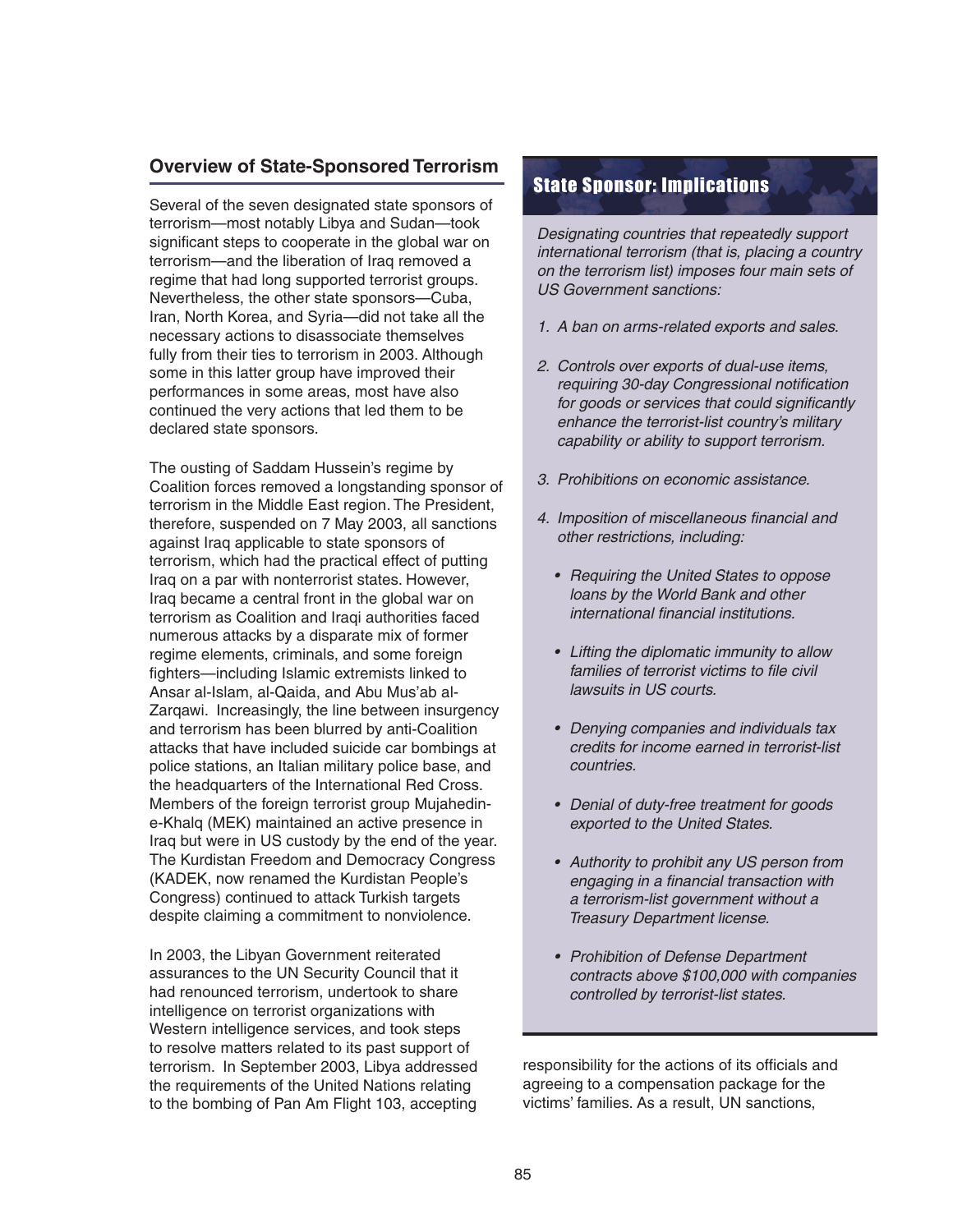### **Overview of State-Sponsored Terrorism**

Several of the seven designated state sponsors of terrorism—most notably Libya and Sudan—took significant steps to cooperate in the global war on terrorism—and the liberation of Iraq removed a regime that had long supported terrorist groups. Nevertheless, the other state sponsors—Cuba, Iran, North Korea, and Syria—did not take all the necessary actions to disassociate themselves fully from their ties to terrorism in 2003. Although some in this latter group have improved their performances in some areas, most have also continued the very actions that led them to be declared state sponsors.

The ousting of Saddam Hussein's regime by Coalition forces removed a longstanding sponsor of terrorism in the Middle East region. The President, therefore, suspended on 7 May 2003, all sanctions against Iraq applicable to state sponsors of terrorism, which had the practical effect of putting Iraq on a par with nonterrorist states. However, Iraq became a central front in the global war on terrorism as Coalition and Iraqi authorities faced numerous attacks by a disparate mix of former regime elements, criminals, and some foreign fighters—including Islamic extremists linked to Ansar al-Islam, al-Qaida, and Abu Mus'ab al-Zarqawi. Increasingly, the line between insurgency and terrorism has been blurred by anti-Coalition attacks that have included suicide car bombings at police stations, an Italian military police base, and the headquarters of the International Red Cross. Members of the foreign terrorist group Mujahedine-Khalq (MEK) maintained an active presence in Iraq but were in US custody by the end of the year. The Kurdistan Freedom and Democracy Congress (KADEK, now renamed the Kurdistan People's Congress) continued to attack Turkish targets despite claiming a commitment to nonviolence.

In 2003, the Libyan Government reiterated assurances to the UN Security Council that it had renounced terrorism, undertook to share intelligence on terrorist organizations with Western intelligence services, and took steps to resolve matters related to its past support of terrorism. In September 2003, Libya addressed the requirements of the United Nations relating to the bombing of Pan Am Flight 103, accepting

# State Sponsor: Implications

Designating countries that repeatedly support international terrorism (that is, placing a country on the terrorism list) imposes four main sets of US Government sanctions:

- 1. A ban on arms-related exports and sales.
- 2. Controls over exports of dual-use items, requiring 30-day Congressional notification for goods or services that could significantly enhance the terrorist-list country's military capability or ability to support terrorism.
- 3. Prohibitions on economic assistance.
- 4. Imposition of miscellaneous financial and other restrictions, including:
	- Requiring the United States to oppose loans by the World Bank and other international financial institutions
	- Lifting the diplomatic immunity to allow families of terrorist victims to file civil lawsuits in US courts.
	- Denying companies and individuals tax credits for income earned in terrorist-list countries.
	- Denial of duty-free treatment for goods exported to the United States.
	- Authority to prohibit any US person from engaging in a financial transaction with a terrorism-list government without a Treasury Department license.
	- Prohibition of Defense Department contracts above \$100,000 with companies controlled by terrorist-list states.

responsibility for the actions of its officials and agreeing to a compensation package for the victims' families. As a result, UN sanctions,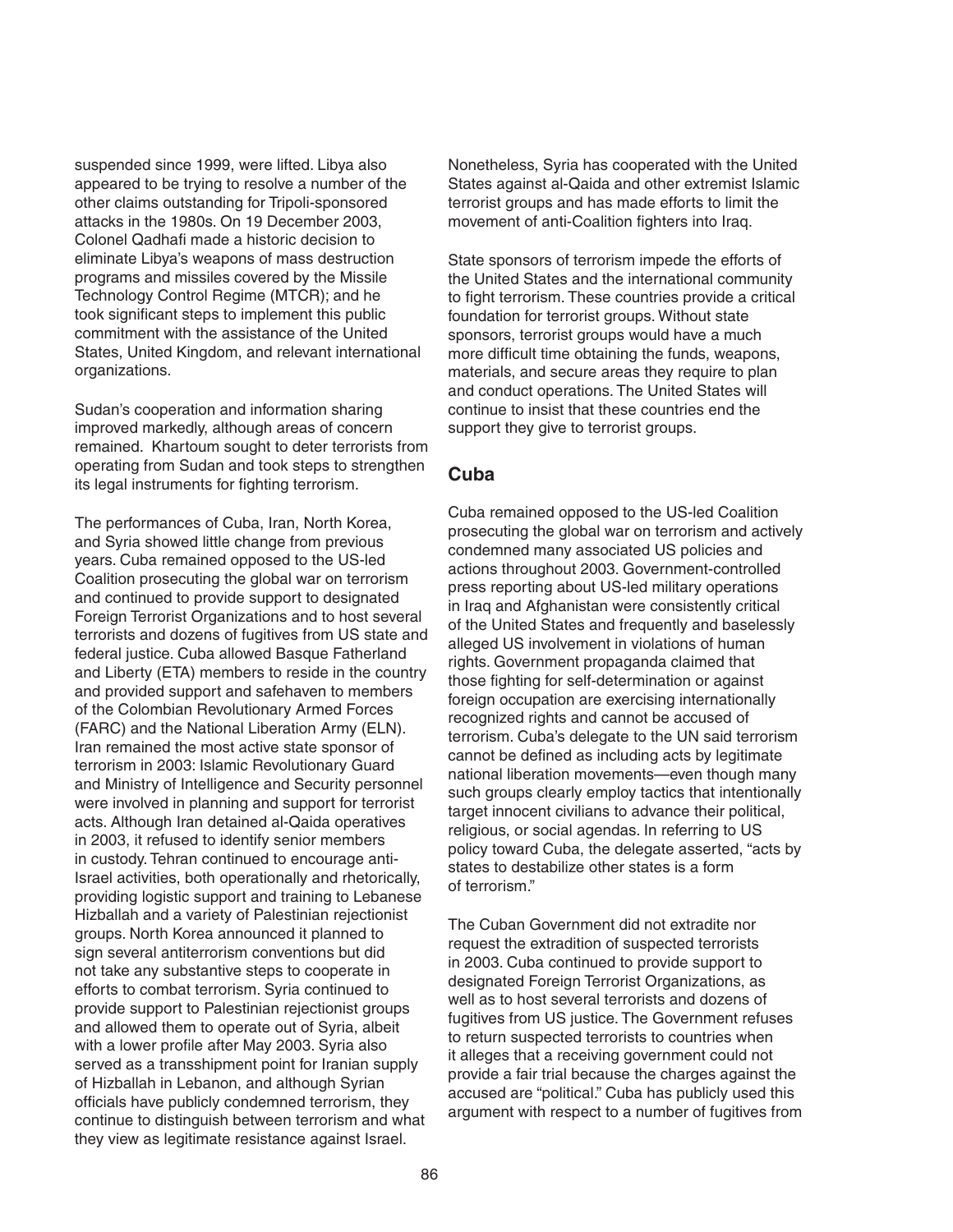suspended since 1999, were lifted. Libya also appeared to be trying to resolve a number of the other claims outstanding for Tripoli-sponsored attacks in the 1980s. On 19 December 2003, Colonel Qadhafi made a historic decision to eliminate Libya's weapons of mass destruction programs and missiles covered by the Missile Technology Control Regime (MTCR); and he took significant steps to implement this public commitment with the assistance of the United States, United Kingdom, and relevant international organizations.

Sudan's cooperation and information sharing improved markedly, although areas of concern remained. Khartoum sought to deter terrorists from operating from Sudan and took steps to strengthen its legal instruments for fighting terrorism.

The performances of Cuba, Iran, North Korea, and Syria showed little change from previous years. Cuba remained opposed to the US-led Coalition prosecuting the global war on terrorism and continued to provide support to designated Foreign Terrorist Organizations and to host several terrorists and dozens of fugitives from US state and federal justice. Cuba allowed Basque Fatherland and Liberty (ETA) members to reside in the country and provided support and safehaven to members of the Colombian Revolutionary Armed Forces (FARC) and the National Liberation Army (ELN). Iran remained the most active state sponsor of terrorism in 2003: Islamic Revolutionary Guard and Ministry of Intelligence and Security personnel were involved in planning and support for terrorist acts. Although Iran detained al-Qaida operatives in 2003, it refused to identify senior members in custody. Tehran continued to encourage anti-Israel activities, both operationally and rhetorically, providing logistic support and training to Lebanese Hizballah and a variety of Palestinian rejectionist groups. North Korea announced it planned to sign several antiterrorism conventions but did not take any substantive steps to cooperate in efforts to combat terrorism. Syria continued to provide support to Palestinian rejectionist groups and allowed them to operate out of Syria, albeit with a lower profile after May 2003. Syria also served as a transshipment point for Iranian supply of Hizballah in Lebanon, and although Syrian officials have publicly condemned terrorism, they continue to distinguish between terrorism and what they view as legitimate resistance against Israel.

Nonetheless, Syria has cooperated with the United States against al-Qaida and other extremist Islamic terrorist groups and has made efforts to limit the movement of anti-Coalition fighters into Iraq.

State sponsors of terrorism impede the efforts of the United States and the international community to fight terrorism. These countries provide a critical foundation for terrorist groups. Without state sponsors, terrorist groups would have a much more difficult time obtaining the funds, weapons, materials, and secure areas they require to plan and conduct operations. The United States will continue to insist that these countries end the support they give to terrorist groups.

### **Cuba**

Cuba remained opposed to the US-led Coalition prosecuting the global war on terrorism and actively condemned many associated US policies and actions throughout 2003. Government-controlled press reporting about US-led military operations in Iraq and Afghanistan were consistently critical of the United States and frequently and baselessly alleged US involvement in violations of human rights. Government propaganda claimed that those fighting for self-determination or against foreign occupation are exercising internationally recognized rights and cannot be accused of terrorism. Cuba's delegate to the UN said terrorism cannot be defined as including acts by legitimate national liberation movements—even though many such groups clearly employ tactics that intentionally target innocent civilians to advance their political, religious, or social agendas. In referring to US policy toward Cuba, the delegate asserted, "acts by states to destabilize other states is a form of terrorism."

The Cuban Government did not extradite nor request the extradition of suspected terrorists in 2003. Cuba continued to provide support to designated Foreign Terrorist Organizations, as well as to host several terrorists and dozens of fugitives from US justice. The Government refuses to return suspected terrorists to countries when it alleges that a receiving government could not provide a fair trial because the charges against the accused are "political." Cuba has publicly used this argument with respect to a number of fugitives from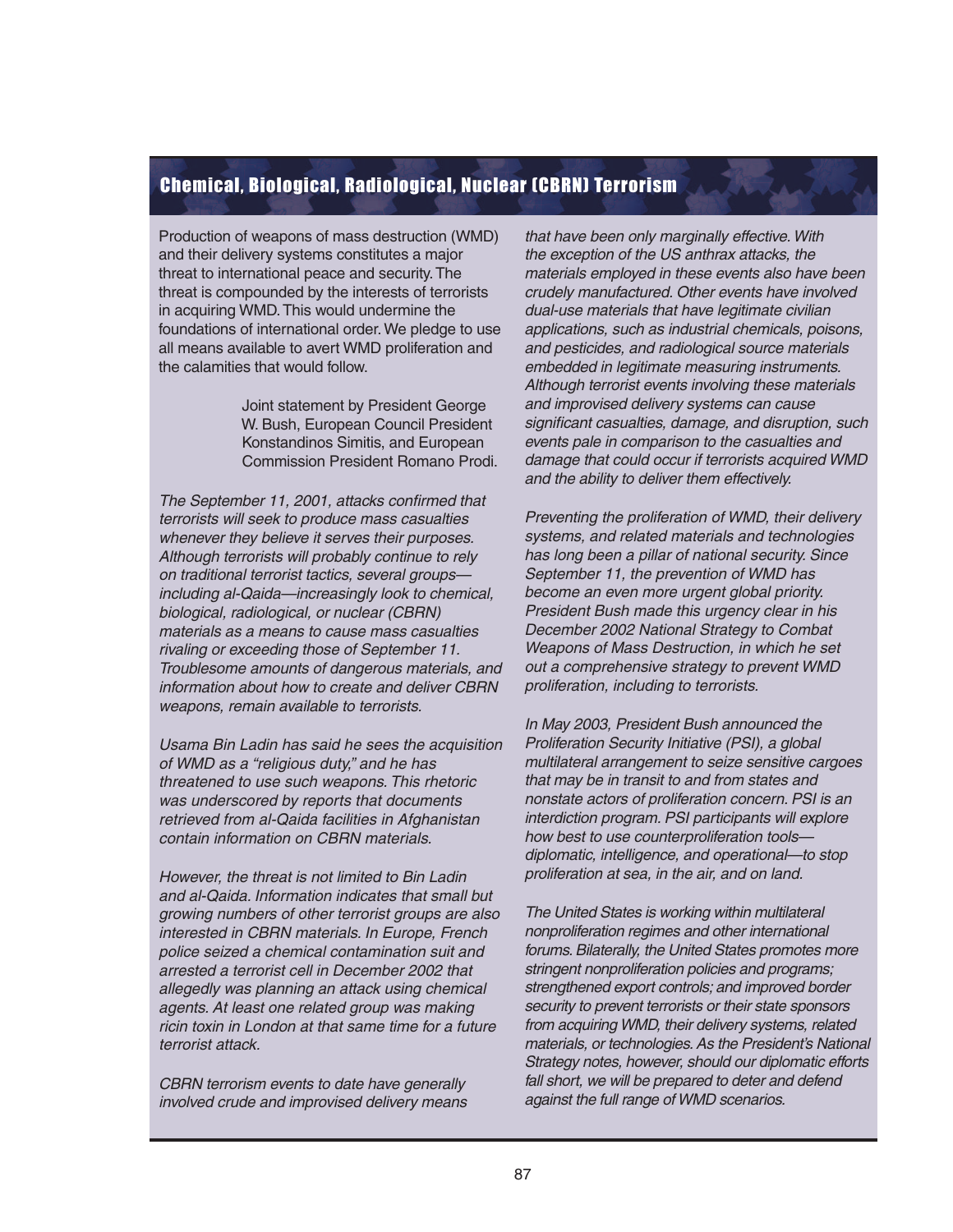# Chemical, Biological, Radiological, Nuclear (CBRN) Terrorism

Production of weapons of mass destruction (WMD) and their delivery systems constitutes a major threat to international peace and security. The threat is compounded by the interests of terrorists in acquiring WMD. This would undermine the foundations of international order. We pledge to use all means available to avert WMD proliferation and the calamities that would follow.

> Joint statement by President George W. Bush, European Council President Konstandinos Simitis, and European Commission President Romano Prodi.

The September 11, 2001, attacks confirmed that terrorists will seek to produce mass casualties whenever they believe it serves their purposes. Although terrorists will probably continue to rely on traditional terrorist tactics, several groups including al-Qaida—increasingly look to chemical, biological, radiological, or nuclear (CBRN) materials as a means to cause mass casualties rivaling or exceeding those of September 11. Troublesome amounts of dangerous materials, and information about how to create and deliver CBRN weapons, remain available to terrorists.

Usama Bin Ladin has said he sees the acquisition of WMD as a "religious duty," and he has threatened to use such weapons. This rhetoric was underscored by reports that documents retrieved from al-Qaida facilities in Afghanistan contain information on CBRN materials.

However, the threat is not limited to Bin Ladin and al-Qaida. Information indicates that small but growing numbers of other terrorist groups are also interested in CBRN materials. In Europe, French police seized a chemical contamination suit and arrested a terrorist cell in December 2002 that allegedly was planning an attack using chemical agents. At least one related group was making ricin toxin in London at that same time for a future terrorist attack

CBRN terrorism events to date have generally involved crude and improvised delivery means that have been only marginally effective. With the exception of the US anthrax attacks, the materials employed in these events also have been crudely manufactured. Other events have involved dual-use materials that have legitimate civilian applications, such as industrial chemicals, poisons, and pesticides, and radiological source materials embedded in legitimate measuring instruments. Although terrorist events involving these materials and improvised delivery systems can cause significant casualties, damage, and disruption, such events pale in comparison to the casualties and damage that could occur if terrorists acquired WMD and the ability to deliver them effectively.

Preventing the proliferation of WMD, their delivery systems, and related materials and technologies has long been a pillar of national security. Since September 11, the prevention of WMD has become an even more urgent global priority. President Bush made this urgency clear in his December 2002 National Strategy to Combat Weapons of Mass Destruction, in which he set out a comprehensive strategy to prevent WMD proliferation, including to terrorists.

In May 2003, President Bush announced the Proliferation Security Initiative (PSI), a global multilateral arrangement to seize sensitive cargoes that may be in transit to and from states and nonstate actors of proliferation concern. PSI is an interdiction program. PSI participants will explore how best to use counterproliferation tools diplomatic, intelligence, and operational—to stop proliferation at sea, in the air, and on land.

The United States is working within multilateral nonproliferation regimes and other international forums. Bilaterally, the United States promotes more stringent nonproliferation policies and programs; strengthened export controls; and improved border security to prevent terrorists or their state sponsors from acquiring WMD, their delivery systems, related materials, or technologies. As the President's National Strategy notes, however, should our diplomatic efforts fall short, we will be prepared to deter and defend against the full range of WMD scenarios.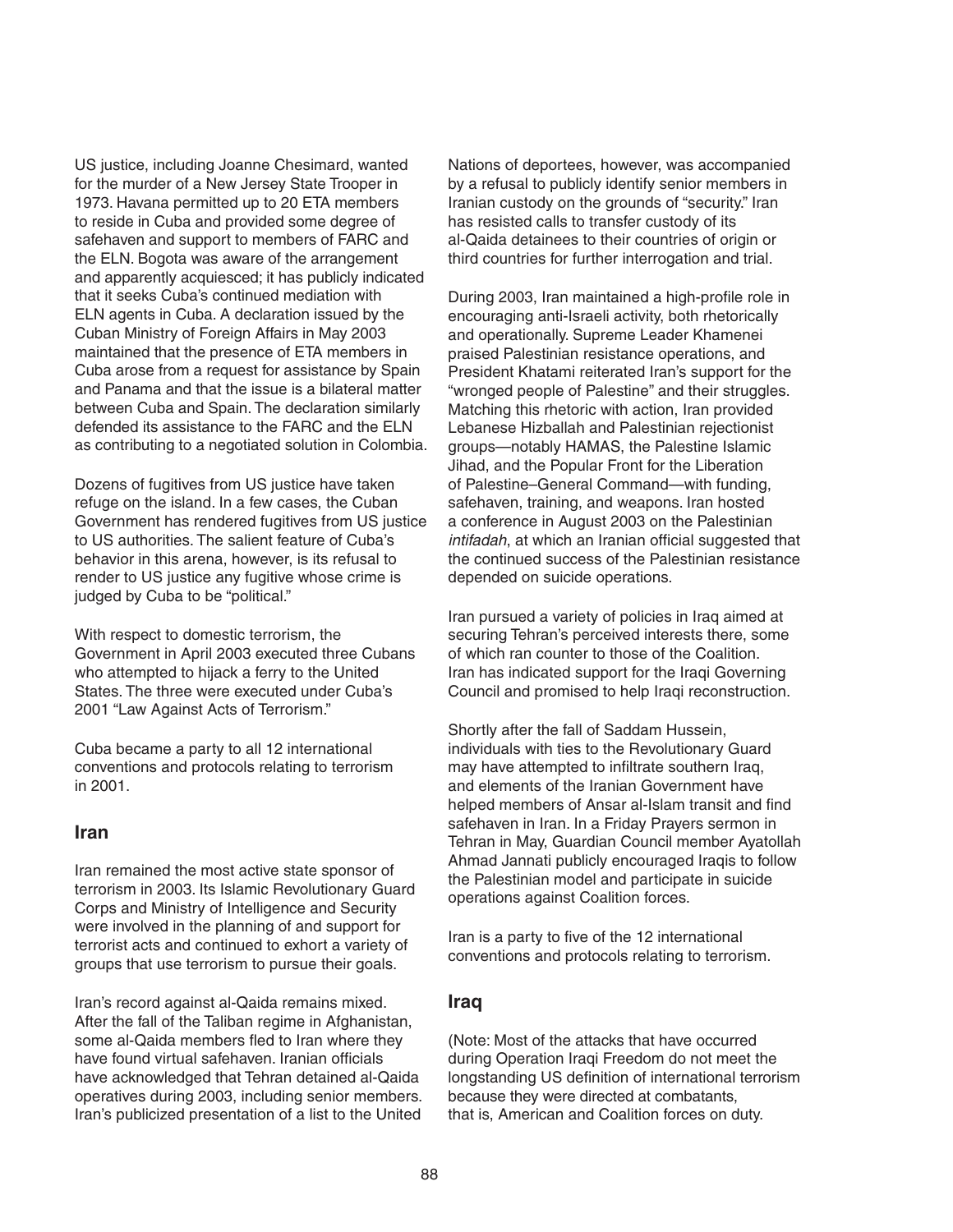US justice, including Joanne Chesimard, wanted for the murder of a New Jersey State Trooper in 1973. Havana permitted up to 20 ETA members to reside in Cuba and provided some degree of safehaven and support to members of FARC and the ELN. Bogota was aware of the arrangement and apparently acquiesced; it has publicly indicated that it seeks Cuba's continued mediation with ELN agents in Cuba. A declaration issued by the Cuban Ministry of Foreign Affairs in May 2003 maintained that the presence of ETA members in Cuba arose from a request for assistance by Spain and Panama and that the issue is a bilateral matter between Cuba and Spain. The declaration similarly defended its assistance to the FARC and the ELN as contributing to a negotiated solution in Colombia.

Dozens of fugitives from US justice have taken refuge on the island. In a few cases, the Cuban Government has rendered fugitives from US justice to US authorities. The salient feature of Cuba's behavior in this arena, however, is its refusal to render to US justice any fugitive whose crime is judged by Cuba to be "political."

With respect to domestic terrorism, the Government in April 2003 executed three Cubans who attempted to hijack a ferry to the United States. The three were executed under Cuba's 2001 "Law Against Acts of Terrorism."

Cuba became a party to all 12 international conventions and protocols relating to terrorism in 2001.

### **Iran**

Iran remained the most active state sponsor of terrorism in 2003. Its Islamic Revolutionary Guard Corps and Ministry of Intelligence and Security were involved in the planning of and support for terrorist acts and continued to exhort a variety of groups that use terrorism to pursue their goals.

Iran's record against al-Qaida remains mixed. After the fall of the Taliban regime in Afghanistan, some al-Qaida members fled to Iran where they have found virtual safehaven. Iranian officials have acknowledged that Tehran detained al-Qaida operatives during 2003, including senior members. Iran's publicized presentation of a list to the United

Nations of deportees, however, was accompanied by a refusal to publicly identify senior members in Iranian custody on the grounds of "security." Iran has resisted calls to transfer custody of its al-Qaida detainees to their countries of origin or third countries for further interrogation and trial.

During 2003, Iran maintained a high-profile role in encouraging anti-Israeli activity, both rhetorically and operationally. Supreme Leader Khamenei praised Palestinian resistance operations, and President Khatami reiterated Iran's support for the "wronged people of Palestine" and their struggles. Matching this rhetoric with action, Iran provided Lebanese Hizballah and Palestinian rejectionist groups—notably HAMAS, the Palestine Islamic Jihad, and the Popular Front for the Liberation of Palestine–General Command—with funding, safehaven, training, and weapons. Iran hosted a conference in August 2003 on the Palestinian intifadah, at which an Iranian official suggested that the continued success of the Palestinian resistance depended on suicide operations.

Iran pursued a variety of policies in Iraq aimed at securing Tehran's perceived interests there, some of which ran counter to those of the Coalition. Iran has indicated support for the Iraqi Governing Council and promised to help Iraqi reconstruction.

Shortly after the fall of Saddam Hussein, individuals with ties to the Revolutionary Guard may have attempted to infiltrate southern Iraq, and elements of the Iranian Government have helped members of Ansar al-Islam transit and find safehaven in Iran. In a Friday Prayers sermon in Tehran in May, Guardian Council member Ayatollah Ahmad Jannati publicly encouraged Iraqis to follow the Palestinian model and participate in suicide operations against Coalition forces.

Iran is a party to five of the 12 international conventions and protocols relating to terrorism.

#### **Iraq**

(Note: Most of the attacks that have occurred during Operation Iraqi Freedom do not meet the longstanding US definition of international terrorism because they were directed at combatants, that is, American and Coalition forces on duty.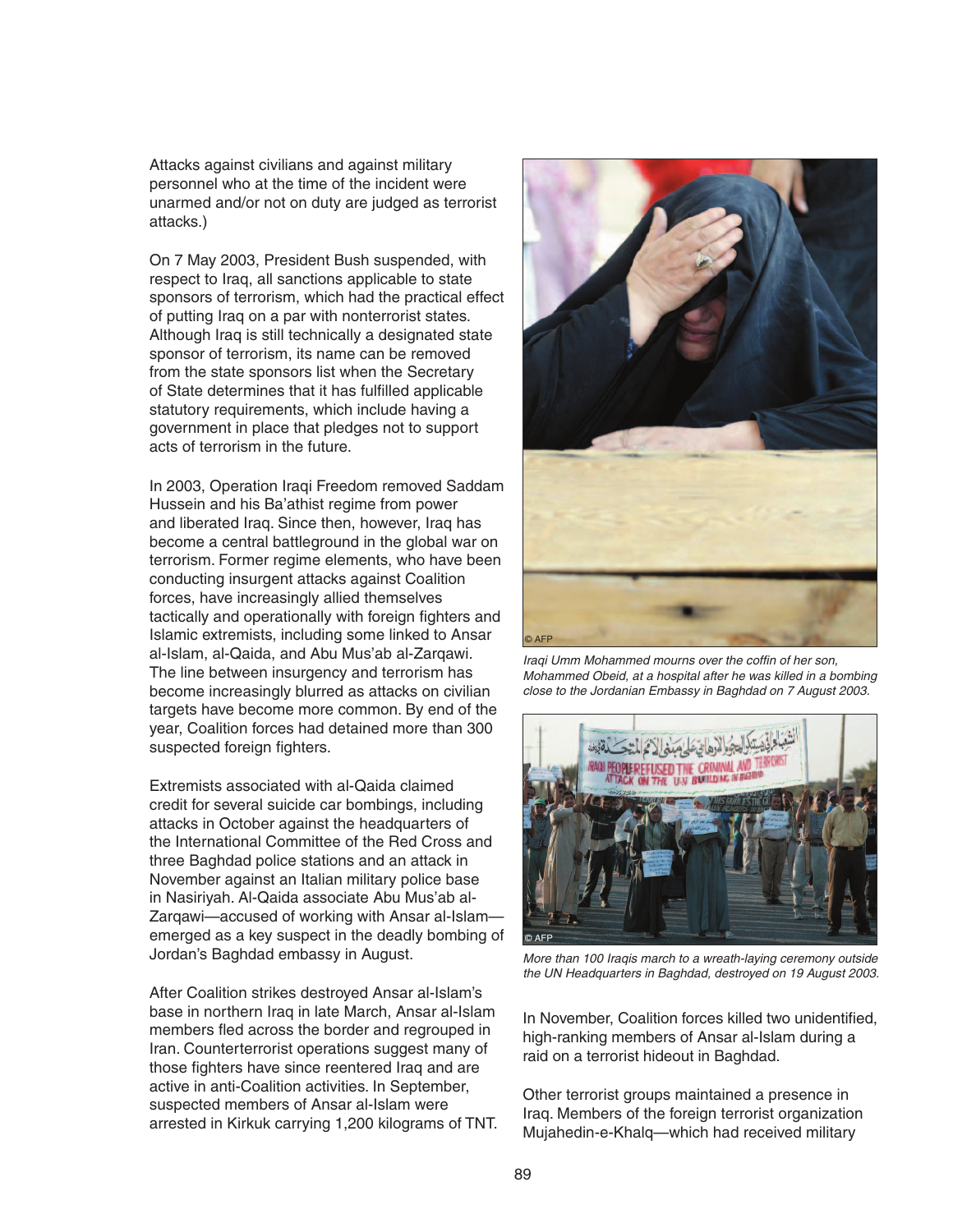Attacks against civilians and against military personnel who at the time of the incident were unarmed and/or not on duty are judged as terrorist attacks.)

On 7 May 2003, President Bush suspended, with respect to Iraq, all sanctions applicable to state sponsors of terrorism, which had the practical effect of putting Iraq on a par with nonterrorist states. Although Iraq is still technically a designated state sponsor of terrorism, its name can be removed from the state sponsors list when the Secretary of State determines that it has fulfilled applicable statutory requirements, which include having a government in place that pledges not to support acts of terrorism in the future.

In 2003, Operation Iraqi Freedom removed Saddam Hussein and his Ba'athist regime from power and liberated Iraq. Since then, however, Iraq has become a central battleground in the global war on terrorism. Former regime elements, who have been conducting insurgent attacks against Coalition forces, have increasingly allied themselves tactically and operationally with foreign fighters and Islamic extremists, including some linked to Ansar al-Islam, al-Qaida, and Abu Mus'ab al-Zarqawi. The line between insurgency and terrorism has become increasingly blurred as attacks on civilian targets have become more common. By end of the year, Coalition forces had detained more than 300 suspected foreign fighters.

Extremists associated with al-Qaida claimed credit for several suicide car bombings, including attacks in October against the headquarters of the International Committee of the Red Cross and three Baghdad police stations and an attack in November against an Italian military police base in Nasiriyah. Al-Qaida associate Abu Mus'ab al-Zarqawi—accused of working with Ansar al-Islam emerged as a key suspect in the deadly bombing of Jordan's Baghdad embassy in August.

After Coalition strikes destroyed Ansar al-Islam's base in northern Iraq in late March, Ansar al-Islam members fled across the border and regrouped in Iran. Counterterrorist operations suggest many of those fighters have since reentered Iraq and are active in anti-Coalition activities. In September, suspected members of Ansar al-Islam were arrested in Kirkuk carrying 1,200 kilograms of TNT.



Iraqi Umm Mohammed mourns over the coffin of her son, Mohammed Obeid, at a hospital after he was killed in a bombing close to the Jordanian Embassy in Baghdad on 7 August 2003.



More than 100 Iraqis march to a wreath-laying ceremony outside the UN Headquarters in Baghdad, destroyed on 19 August 2003.

In November, Coalition forces killed two unidentified, high-ranking members of Ansar al-Islam during a raid on a terrorist hideout in Baghdad.

Other terrorist groups maintained a presence in Iraq. Members of the foreign terrorist organization Mujahedin-e-Khalq—which had received military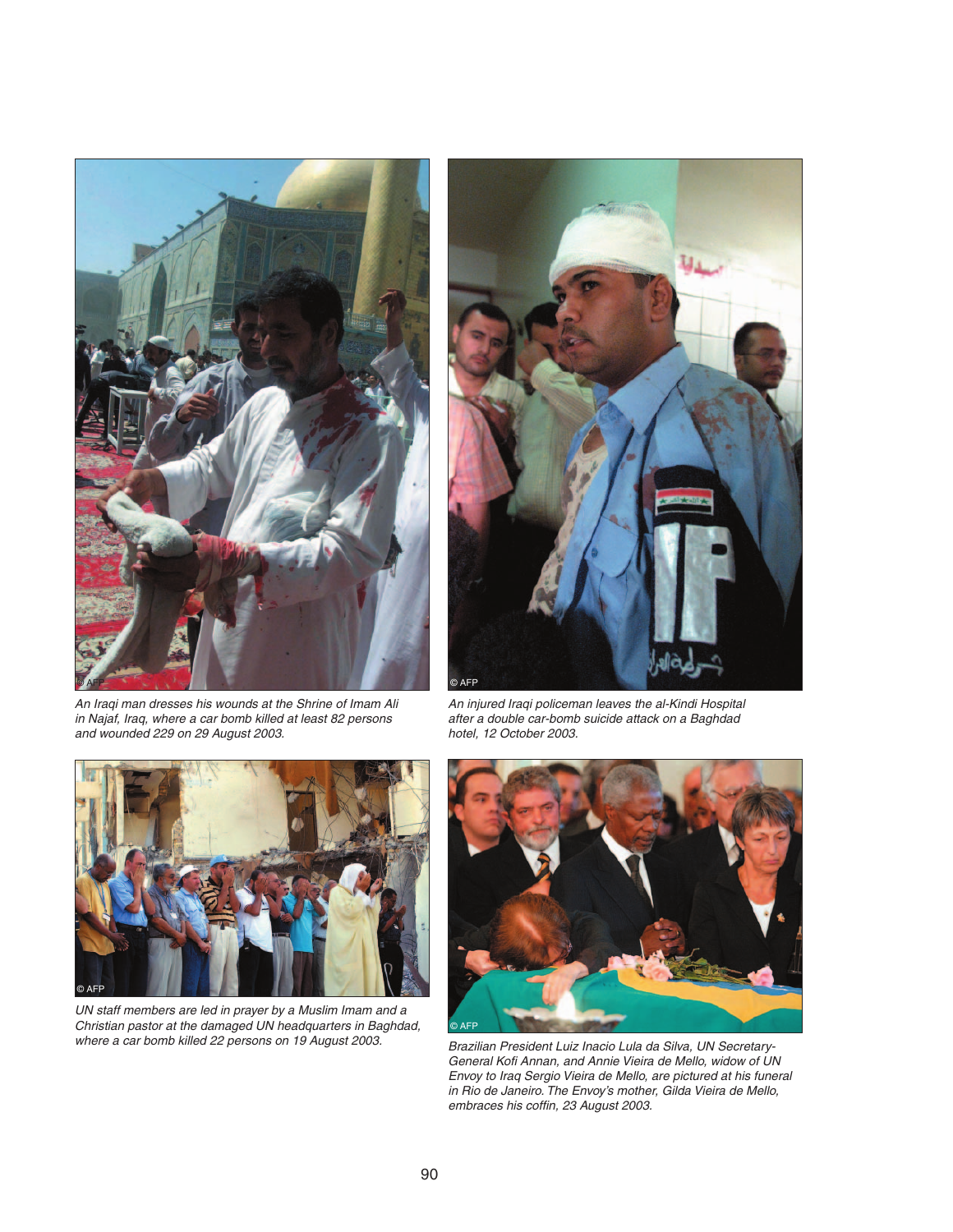

U1 © AFP

An Iraqi man dresses his wounds at the Shrine of Imam Ali in Najaf, Iraq, where a car bomb killed at least 82 persons and wounded 229 on 29 August 2003.

An injured Iraqi policeman leaves the al-Kindi Hospital after a double car-bomb suicide attack on a Baghdad hotel, 12 October 2003.



UN staff members are led in prayer by a Muslim Imam and a Christian pastor at the damaged UN headquarters in Baghdad, where a car bomb killed 22 persons on 19 August 2003.



Brazilian President Luiz Inacio Lula da Silva, UN Secretary-General Kofi Annan, and Annie Vieira de Mello, widow of UN Envoy to Iraq Sergio Vieira de Mello, are pictured at his funeral in Rio de Janeiro. The Envoy's mother, Gilda Vieira de Mello, embraces his coffin, 23 August 2003.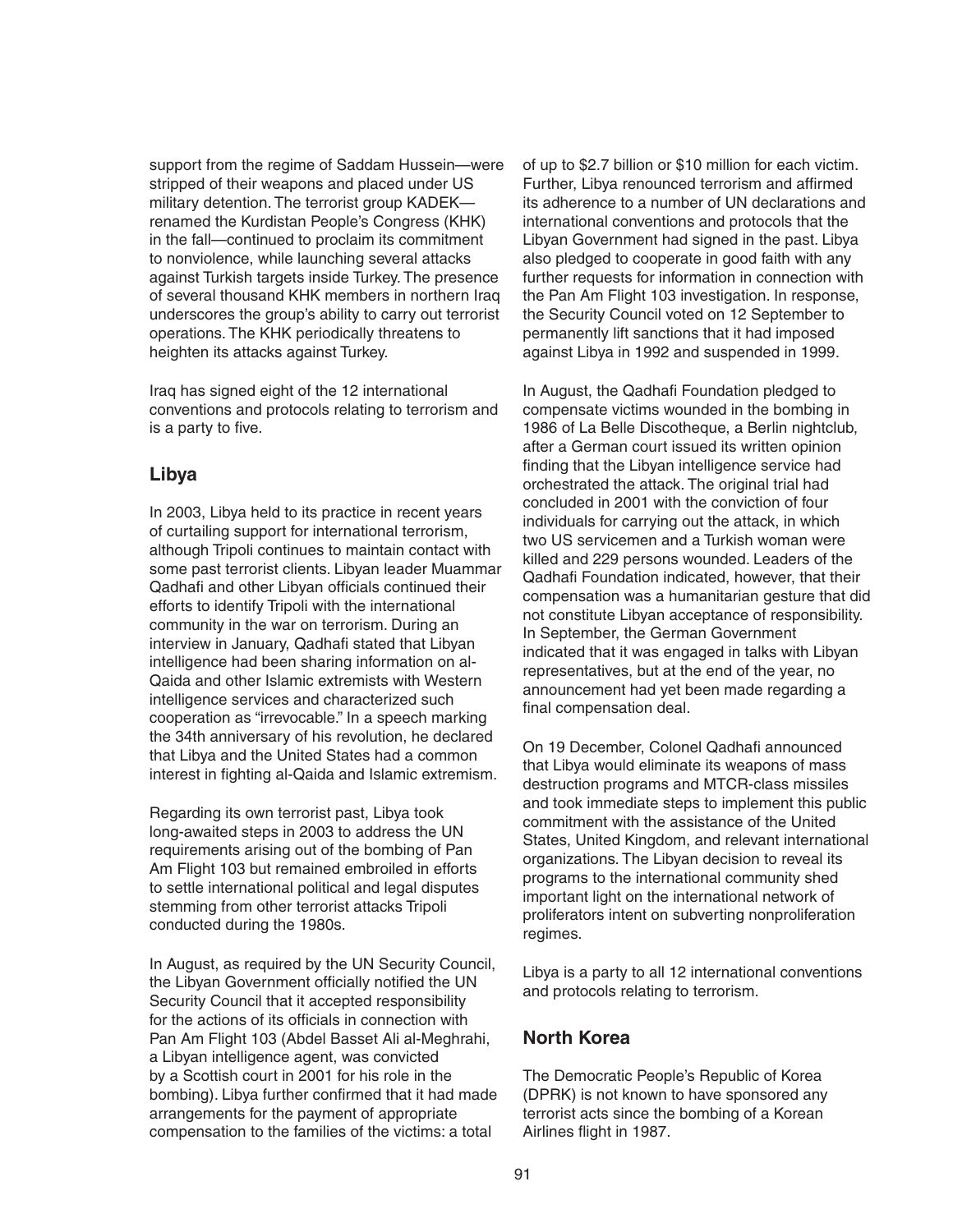support from the regime of Saddam Hussein—were stripped of their weapons and placed under US military detention. The terrorist group KADEK renamed the Kurdistan People's Congress (KHK) in the fall—continued to proclaim its commitment to nonviolence, while launching several attacks against Turkish targets inside Turkey. The presence of several thousand KHK members in northern Iraq underscores the group's ability to carry out terrorist operations. The KHK periodically threatens to heighten its attacks against Turkey.

Iraq has signed eight of the 12 international conventions and protocols relating to terrorism and is a party to five.

## **Libya**

In 2003, Libya held to its practice in recent years of curtailing support for international terrorism, although Tripoli continues to maintain contact with some past terrorist clients. Libyan leader Muammar Qadhafi and other Libyan officials continued their efforts to identify Tripoli with the international community in the war on terrorism. During an interview in January, Qadhafi stated that Libyan intelligence had been sharing information on al-Qaida and other Islamic extremists with Western intelligence services and characterized such cooperation as "irrevocable." In a speech marking the 34th anniversary of his revolution, he declared that Libya and the United States had a common interest in fighting al-Qaida and Islamic extremism.

Regarding its own terrorist past, Libya took long-awaited steps in 2003 to address the UN requirements arising out of the bombing of Pan Am Flight 103 but remained embroiled in efforts to settle international political and legal disputes stemming from other terrorist attacks Tripoli conducted during the 1980s.

In August, as required by the UN Security Council, the Libyan Government officially notified the UN Security Council that it accepted responsibility for the actions of its officials in connection with Pan Am Flight 103 (Abdel Basset Ali al-Meghrahi, a Libyan intelligence agent, was convicted by a Scottish court in 2001 for his role in the bombing). Libya further confirmed that it had made arrangements for the payment of appropriate compensation to the families of the victims: a total

of up to \$2.7 billion or \$10 million for each victim. Further, Libya renounced terrorism and affirmed its adherence to a number of UN declarations and international conventions and protocols that the Libyan Government had signed in the past. Libya also pledged to cooperate in good faith with any further requests for information in connection with the Pan Am Flight 103 investigation. In response, the Security Council voted on 12 September to permanently lift sanctions that it had imposed against Libya in 1992 and suspended in 1999.

In August, the Qadhafi Foundation pledged to compensate victims wounded in the bombing in 1986 of La Belle Discotheque, a Berlin nightclub, after a German court issued its written opinion finding that the Libyan intelligence service had orchestrated the attack. The original trial had concluded in 2001 with the conviction of four individuals for carrying out the attack, in which two US servicemen and a Turkish woman were killed and 229 persons wounded. Leaders of the Qadhafi Foundation indicated, however, that their compensation was a humanitarian gesture that did not constitute Libyan acceptance of responsibility. In September, the German Government indicated that it was engaged in talks with Libyan representatives, but at the end of the year, no announcement had yet been made regarding a final compensation deal.

On 19 December, Colonel Qadhafi announced that Libya would eliminate its weapons of mass destruction programs and MTCR-class missiles and took immediate steps to implement this public commitment with the assistance of the United States, United Kingdom, and relevant international organizations. The Libyan decision to reveal its programs to the international community shed important light on the international network of proliferators intent on subverting nonproliferation regimes.

Libya is a party to all 12 international conventions and protocols relating to terrorism.

### **North Korea**

The Democratic People's Republic of Korea (DPRK) is not known to have sponsored any terrorist acts since the bombing of a Korean Airlines flight in 1987.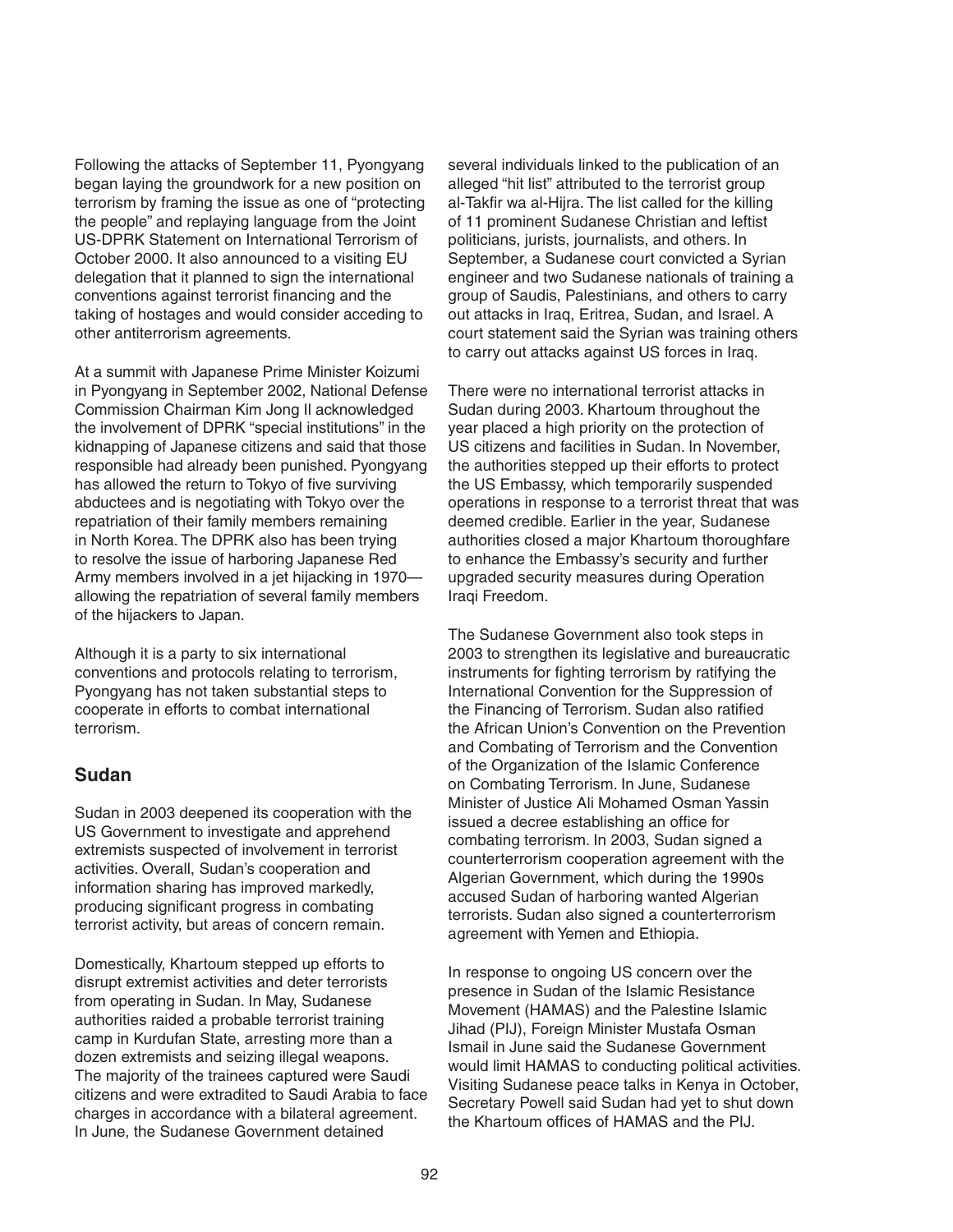Following the attacks of September 11, Pyongyang began laying the groundwork for a new position on terrorism by framing the issue as one of "protecting the people" and replaying language from the Joint US-DPRK Statement on International Terrorism of October 2000. It also announced to a visiting EU delegation that it planned to sign the international conventions against terrorist financing and the taking of hostages and would consider acceding to other antiterrorism agreements.

At a summit with Japanese Prime Minister Koizumi in Pyongyang in September 2002, National Defense Commission Chairman Kim Jong Il acknowledged the involvement of DPRK "special institutions" in the kidnapping of Japanese citizens and said that those responsible had already been punished. Pyongyang has allowed the return to Tokyo of five surviving abductees and is negotiating with Tokyo over the repatriation of their family members remaining in North Korea. The DPRK also has been trying to resolve the issue of harboring Japanese Red Army members involved in a jet hijacking in 1970 allowing the repatriation of several family members of the hijackers to Japan.

Although it is a party to six international conventions and protocols relating to terrorism, Pyongyang has not taken substantial steps to cooperate in efforts to combat international terrorism.

#### **Sudan**

Sudan in 2003 deepened its cooperation with the US Government to investigate and apprehend extremists suspected of involvement in terrorist activities. Overall, Sudan's cooperation and information sharing has improved markedly, producing significant progress in combating terrorist activity, but areas of concern remain.

Domestically, Khartoum stepped up efforts to disrupt extremist activities and deter terrorists from operating in Sudan. In May, Sudanese authorities raided a probable terrorist training camp in Kurdufan State, arresting more than a dozen extremists and seizing illegal weapons. The majority of the trainees captured were Saudi citizens and were extradited to Saudi Arabia to face charges in accordance with a bilateral agreement. In June, the Sudanese Government detained

several individuals linked to the publication of an alleged "hit list" attributed to the terrorist group al-Takfir wa al-Hijra. The list called for the killing of 11 prominent Sudanese Christian and leftist politicians, jurists, journalists, and others. In September, a Sudanese court convicted a Syrian engineer and two Sudanese nationals of training a group of Saudis, Palestinians, and others to carry out attacks in Iraq, Eritrea, Sudan, and Israel. A court statement said the Syrian was training others to carry out attacks against US forces in Iraq.

There were no international terrorist attacks in Sudan during 2003. Khartoum throughout the year placed a high priority on the protection of US citizens and facilities in Sudan. In November, the authorities stepped up their efforts to protect the US Embassy, which temporarily suspended operations in response to a terrorist threat that was deemed credible. Earlier in the year, Sudanese authorities closed a major Khartoum thoroughfare to enhance the Embassy's security and further upgraded security measures during Operation Iraqi Freedom.

The Sudanese Government also took steps in 2003 to strengthen its legislative and bureaucratic instruments for fighting terrorism by ratifying the International Convention for the Suppression of the Financing of Terrorism. Sudan also ratified the African Union's Convention on the Prevention and Combating of Terrorism and the Convention of the Organization of the Islamic Conference on Combating Terrorism. In June, Sudanese Minister of Justice Ali Mohamed Osman Yassin issued a decree establishing an office for combating terrorism. In 2003, Sudan signed a counterterrorism cooperation agreement with the Algerian Government, which during the 1990s accused Sudan of harboring wanted Algerian terrorists. Sudan also signed a counterterrorism agreement with Yemen and Ethiopia.

In response to ongoing US concern over the presence in Sudan of the Islamic Resistance Movement (HAMAS) and the Palestine Islamic Jihad (PIJ), Foreign Minister Mustafa Osman Ismail in June said the Sudanese Government would limit HAMAS to conducting political activities. Visiting Sudanese peace talks in Kenya in October, Secretary Powell said Sudan had yet to shut down the Khartoum offices of HAMAS and the PIJ.